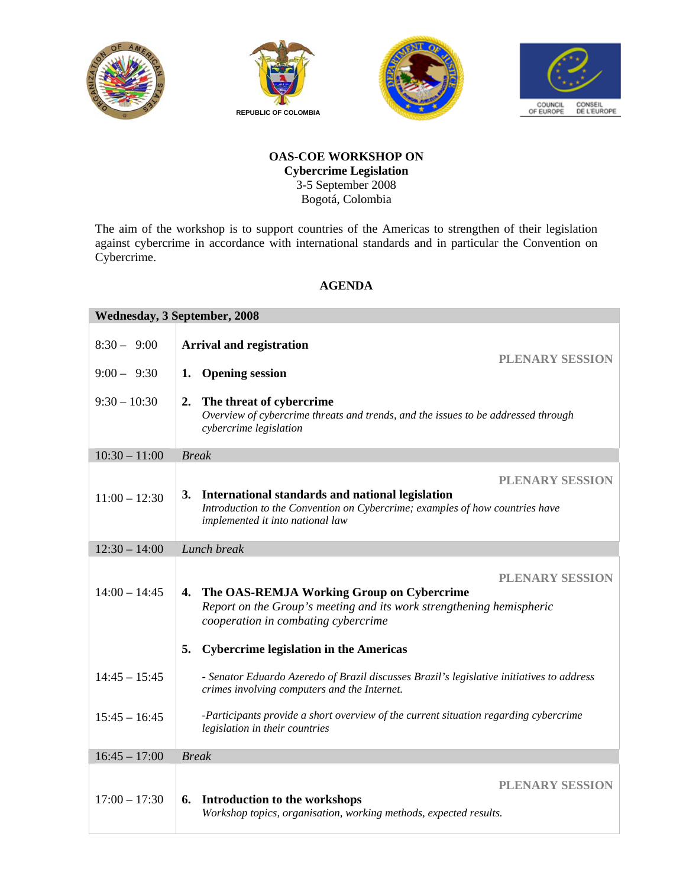







## **OAS-COE WORKSHOP ON Cybercrime Legislation**  3-5 September 2008 Bogotá, Colombia

The aim of the workshop is to support countries of the Americas to strengthen of their legislation against cybercrime in accordance with international standards and in particular the Convention on Cybercrime.

## **AGENDA**

| Wednesday, 3 September, 2008 |                                                                                                                                                                                                   |  |
|------------------------------|---------------------------------------------------------------------------------------------------------------------------------------------------------------------------------------------------|--|
| $8:30 - 9:00$                | <b>Arrival and registration</b><br><b>PLENARY SESSION</b>                                                                                                                                         |  |
| $9:00 - 9:30$                | <b>Opening session</b><br>1.                                                                                                                                                                      |  |
| $9:30 - 10:30$               | 2.<br>The threat of cybercrime<br>Overview of cybercrime threats and trends, and the issues to be addressed through<br>cybercrime legislation                                                     |  |
| $10:30 - 11:00$              | <b>Break</b>                                                                                                                                                                                      |  |
| $11:00 - 12:30$              | <b>PLENARY SESSION</b><br>3. International standards and national legislation<br>Introduction to the Convention on Cybercrime; examples of how countries have<br>implemented it into national law |  |
| $12:30 - 14:00$              | Lunch break                                                                                                                                                                                       |  |
| $14:00 - 14:45$              | <b>PLENARY SESSION</b><br>The OAS-REMJA Working Group on Cybercrime<br>4.<br>Report on the Group's meeting and its work strengthening hemispheric<br>cooperation in combating cybercrime          |  |
|                              | <b>Cybercrime legislation in the Americas</b><br>5.                                                                                                                                               |  |
| $14:45 - 15:45$              | - Senator Eduardo Azeredo of Brazil discusses Brazil's legislative initiatives to address<br>crimes involving computers and the Internet.                                                         |  |
| $15:45 - 16:45$              | -Participants provide a short overview of the current situation regarding cybercrime<br>legislation in their countries                                                                            |  |
| $16:45 - 17:00$              | <b>Break</b>                                                                                                                                                                                      |  |
| $17:00 - 17:30$              | <b>PLENARY SESSION</b><br>Introduction to the workshops<br>6.<br>Workshop topics, organisation, working methods, expected results.                                                                |  |